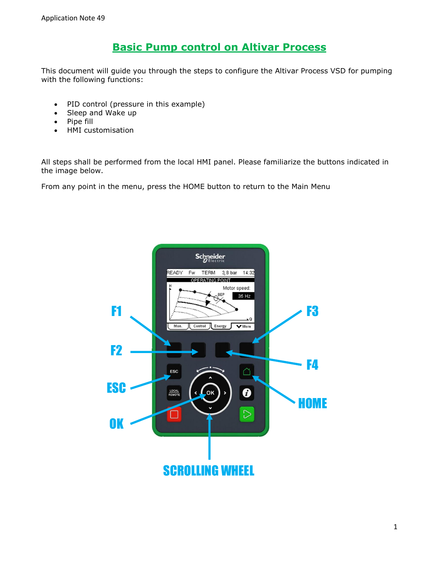# **Basic Pump control on Altivar Process**

This document will guide you through the steps to configure the Altivar Process VSD for pumping with the following functions:

- PID control (pressure in this example)
- Sleep and Wake up
- Pipe fill
- HMI customisation

All steps shall be performed from the local HMI panel. Please familiarize the buttons indicated in the image below.

From any point in the menu, press the HOME button to return to the Main Menu

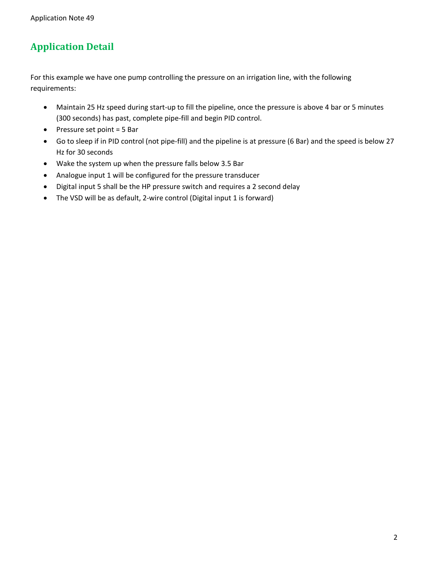# **Application Detail**

For this example we have one pump controlling the pressure on an irrigation line, with the following requirements:

- Maintain 25 Hz speed during start-up to fill the pipeline, once the pressure is above 4 bar or 5 minutes (300 seconds) has past, complete pipe-fill and begin PID control.
- $\bullet$  Pressure set point = 5 Bar
- Go to sleep if in PID control (not pipe-fill) and the pipeline is at pressure (6 Bar) and the speed is below 27 Hz for 30 seconds
- Wake the system up when the pressure falls below 3.5 Bar
- Analogue input 1 will be configured for the pressure transducer
- Digital input 5 shall be the HP pressure switch and requires a 2 second delay
- The VSD will be as default, 2-wire control (Digital input 1 is forward)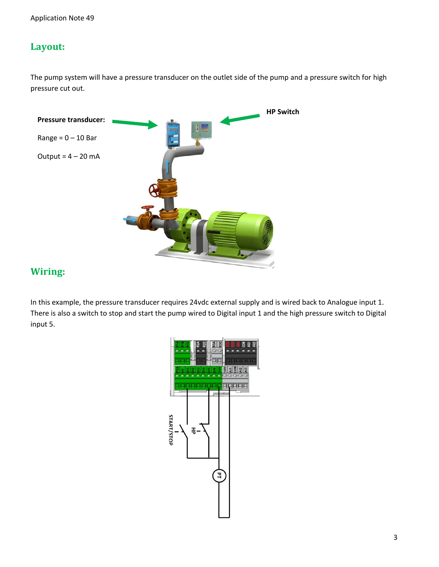# **Layout:**

The pump system will have a pressure transducer on the outlet side of the pump and a pressure switch for high pressure cut out.



## **Wiring:**

In this example, the pressure transducer requires 24vdc external supply and is wired back to Analogue input 1. There is also a switch to stop and start the pump wired to Digital input 1 and the high pressure switch to Digital input 5.

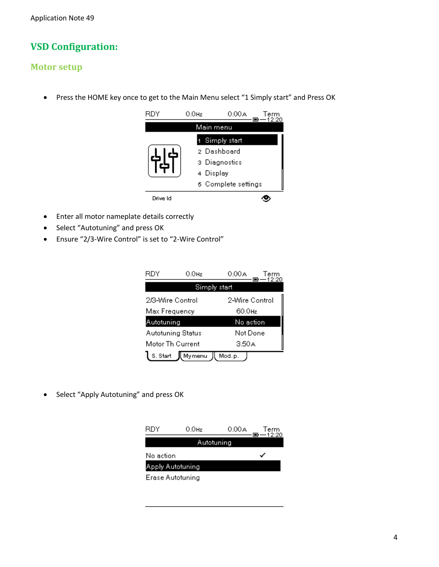# **VSD Configuration:**

#### **Motor setup**

Press the HOME key once to get to the Main Menu select "1 Simply start" and Press OK



- Enter all motor nameplate details correctly
- Select "Autotuning" and press OK
- Ensure "2/3-Wire Control" is set to "2-Wire Control"

| RDY                      | 0.0Hz        | 0.00 A             | Lerm |
|--------------------------|--------------|--------------------|------|
|                          | Simply start |                    |      |
| 2/3-Wire Control         |              | 2-Wire Control     |      |
| Max Frequency            |              | 60.0 <sub>Hz</sub> |      |
| Autotuning               |              | No action          |      |
| <b>Autotuning Status</b> |              | Not Done           |      |
| Motor Th Current         |              | 3.50 A             |      |
| S. Start                 | JI, Mymenu.  | Mod.p.             |      |

Select "Apply Autotuning" and press OK

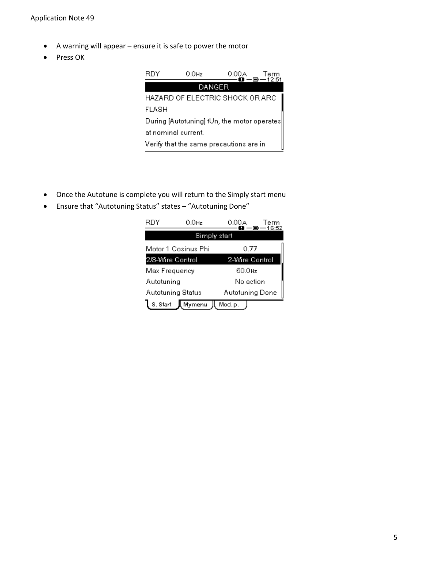- A warning will appear ensure it is safe to power the motor
- Press OK

| RDY                 | 0.0Hz                                        | 0.00 A | Term<br>一回一12:51 |
|---------------------|----------------------------------------------|--------|------------------|
|                     | DANGER                                       |        |                  |
|                     | HAZARD OF ELECTRIC SHOCK OR ARC              |        |                  |
| FLASH               |                                              |        |                  |
|                     | During [Autotuning] tUn, the motor operates] |        |                  |
| at nominal current. |                                              |        |                  |
|                     | Verify that the same precautions are in      |        |                  |

- Once the Autotune is complete you will return to the Simply start menu
- Ensure that "Autotuning Status" states "Autotuning Done"

| RDY                                    | 0.0Hz               | 0.00A                  | Term |
|----------------------------------------|---------------------|------------------------|------|
|                                        | Simply start        |                        |      |
|                                        | Motor 1 Cosinus Phi | 0.77                   |      |
| 2/3-Wire Control                       |                     | 2-Wire Control         |      |
| Max Frequency                          |                     | 60.0 <sub>Hz</sub>     |      |
| Autotuning                             |                     | No action              |      |
| <b>Autotuning Status</b>               |                     | <b>Autotuning Done</b> |      |
| <b>ji</b> Mymenu<br>S. Start<br>Mod.p. |                     |                        |      |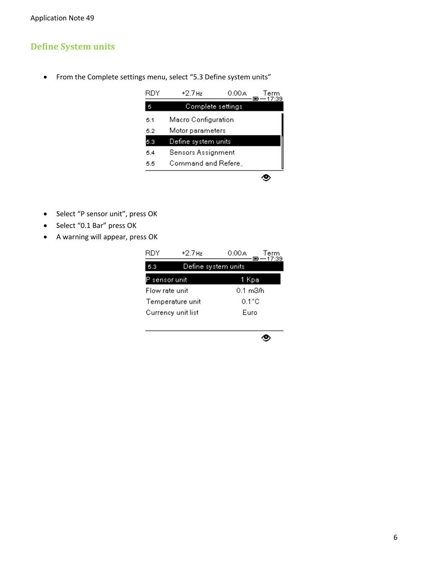#### **Define System units**

From the Complete settings menu, select "5.3 Define system units"



- Select "P sensor unit", press OK
- Select "0.1 Bar" press OK
- A warning will appear, press OK

| RDY                | $+2.7$ Hz           | 0.00A<br>Term<br>—17:39 |  |
|--------------------|---------------------|-------------------------|--|
| 5.3                | Define system units |                         |  |
| sensor unit        |                     | -Kpa<br>Ί               |  |
| Flow rate unit     |                     | 0.1 m3/h                |  |
| Temperature unit   |                     | 0.1°C                   |  |
| Currency unit list |                     | Euro                    |  |
|                    |                     |                         |  |

۰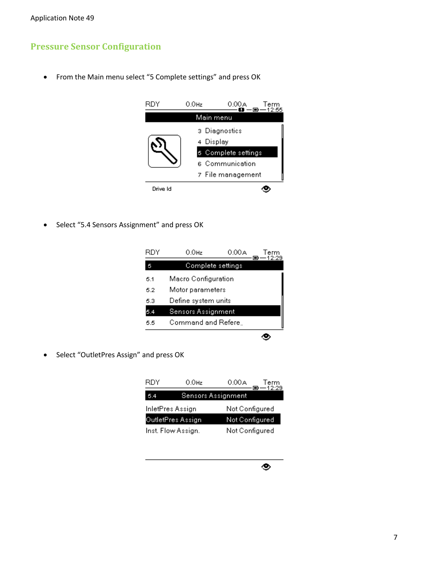### **Pressure Sensor Configuration**

From the Main menu select "5 Complete settings" and press OK



• Select "5.4 Sensors Assignment" and press OK

| RDY | 0.0Hz                     | 0.00 A | erm<br>2:29 |
|-----|---------------------------|--------|-------------|
| 5   | Complete settings         |        |             |
| 5.1 | Macro Configuration       |        |             |
| 5.2 | Motor parameters          |        |             |
| 5.3 | Define system units       |        |             |
|     | <b>Sensors Assignment</b> |        |             |
| 5.5 | Command and Refere.       |        |             |
|     |                           |        |             |

Select "OutletPres Assign" and press OK

| RDY               | 0.0Hz              | 0.00A<br>Term<br>$-12:29$ |  |
|-------------------|--------------------|---------------------------|--|
| 5.4               |                    | <b>Sensors Assignment</b> |  |
| InletPres Assign  |                    | Not Configured            |  |
| OutletPres Assign |                    | Not Configured            |  |
|                   | Inst. Flow Assign. | Not Configured            |  |

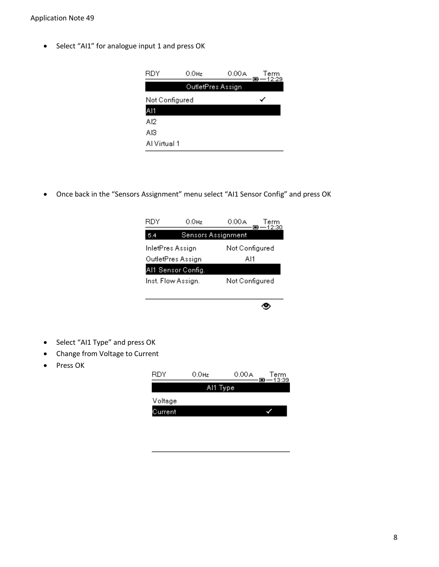Select "AI1" for analogue input 1 and press OK

| RDY            | $0.0$ Hz          | 0.00 A | Term<br>—12:29 |
|----------------|-------------------|--------|----------------|
|                | OutletPres Assign |        |                |
| Not Configured |                   |        |                |
| AI1            |                   |        |                |
| Al2            |                   |        |                |
| AI3.           |                   |        |                |
| Al Virtual 1   |                   |        |                |

Once back in the "Sensors Assignment" menu select "AI1 Sensor Config" and press OK

| RDY                | 0.0Hz                     | 0.00A          | Term<br>—12:30 |
|--------------------|---------------------------|----------------|----------------|
| 5.4                | <b>Sensors Assignment</b> |                |                |
| InletPres Assign   |                           | Not Configured |                |
| OutletPres Assign  |                           | Al1            |                |
| Al1 Sensor Config. |                           |                |                |
| Inst. Flow Assign. |                           | Not Configured |                |
|                    |                           |                |                |
|                    |                           |                |                |

- Select "AI1 Type" and press OK
- Change from Voltage to Current
- Press OK

| RDY     | $0.0$ Hz | 0.00 A | Term<br>$-13:39$<br>o |
|---------|----------|--------|-----------------------|
|         | Al1 Type |        |                       |
| Voltage |          |        |                       |
| Durrent |          |        |                       |
|         |          |        |                       |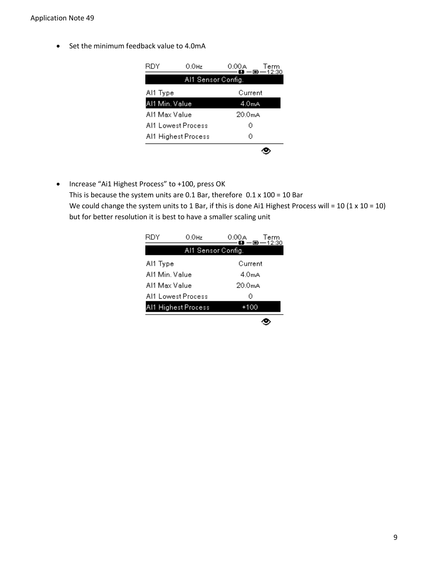• Set the minimum feedback value to 4.0mA

| RDY            | $0.0$ Hz            | Term<br>0.00A<br>$-\blacksquare$ $-12:30$ |  |
|----------------|---------------------|-------------------------------------------|--|
|                | Al1 Sensor Config.  |                                           |  |
| Al1 Type       |                     | Current                                   |  |
| Al1 Min. Value |                     | 4.0mA                                     |  |
| Al1 Max Value  |                     | 20.0 <sub>m</sub> A                       |  |
|                | Al1 Lowest Process  | Ω                                         |  |
|                | Al1 Highest Process | Ω                                         |  |
|                |                     |                                           |  |

• Increase "Ai1 Highest Process" to +100, press OK This is because the system units are 0.1 Bar, therefore  $0.1 \times 100 = 10$  Bar We could change the system units to 1 Bar, if this is done Ai1 Highest Process will = 10 (1 x 10 = 10) but for better resolution it is best to have a smaller scaling unit

| RDY            | $0.0$ Hz            | 0.00A<br>–■一12:30   | Term |
|----------------|---------------------|---------------------|------|
|                | Al1 Sensor Config.  |                     |      |
| Al1 Type       |                     | Current             |      |
| Al1 Min. Value |                     | 4.0mA               |      |
| Al1 Max Value  |                     | 20.0 <sub>m</sub> A |      |
|                | Al1 Lowest Process  | Ω                   |      |
|                | Al1 Highest Process | +100                |      |
|                |                     |                     |      |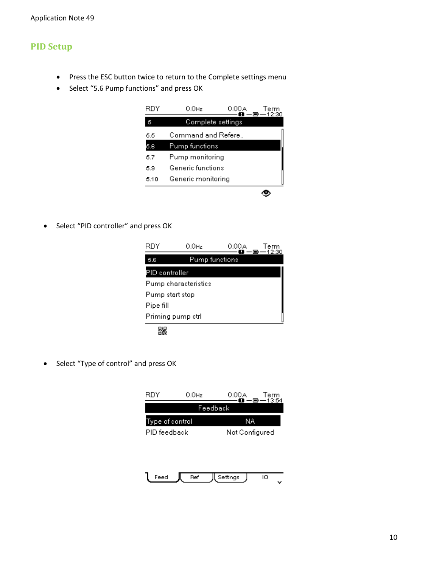### **PID Setup**

- Press the ESC button twice to return to the Complete settings menu
- Select "5.6 Pump functions" and press OK

| RDY  | 0.0Hz              | 0.00A | Term<br>—12:30 |
|------|--------------------|-------|----------------|
| 5    | Complete settings  |       |                |
| 5.5  | Command and Refere |       |                |
| 5.6  | Pump functions     |       |                |
| 5.7  | Pump monitoring    |       |                |
| 5.9  | Generic functions  |       |                |
| 5.10 | Generic monitoring |       |                |
|      |                    |       |                |

• Select "PID controller" and press OK



• Select "Type of control" and press OK

| RDY             | $0.0$ Hz | 0.00 A<br>-6<br>n | Term<br>13:54 |  |
|-----------------|----------|-------------------|---------------|--|
|                 | Feedback |                   |               |  |
| Type of control |          | NA                |               |  |
| PID feedback    |          | Not Configured    |               |  |
|                 |          |                   |               |  |
|                 |          |                   |               |  |
|                 |          |                   |               |  |
| Feed            | Ref      | Settings          | ю             |  |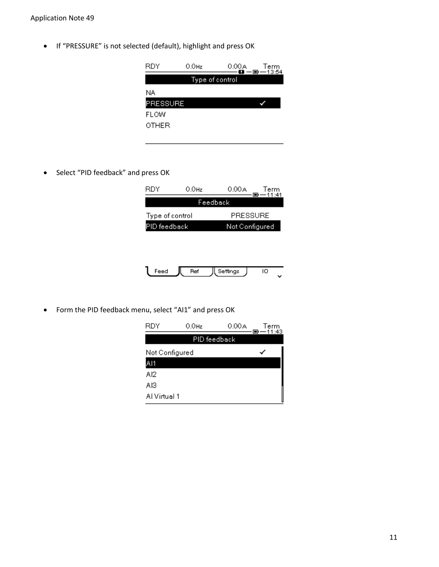• If "PRESSURE" is not selected (default), highlight and press OK

| RDY             | $0.0$ Hz | 0.00 A          | Term<br>$\ddot{H} - \ddot{H} - 13:54$ |
|-----------------|----------|-----------------|---------------------------------------|
|                 |          | Type of control |                                       |
| NA.             |          |                 |                                       |
| <b>PRESSURE</b> |          |                 |                                       |
| FLOW            |          |                 |                                       |
| OTHER           |          |                 |                                       |

• Select "PID feedback" and press OK

| RDY             | 0.0Hz | 0.00A          | Term<br>$-11:41$ |
|-----------------|-------|----------------|------------------|
|                 |       | Feedback       |                  |
| Type of control |       | PRESSURE       |                  |
| PID feedback    |       | Not Configured |                  |
|                 |       |                |                  |

|  | ҡ |  |
|--|---|--|
|  |   |  |

Form the PID feedback menu, select "AI1" and press OK

| RDY            | $0.0$ Hz     | 0.00 A | Term<br>-11:43 |
|----------------|--------------|--------|----------------|
|                | PID feedback |        |                |
| Not Configured |              |        |                |
| A11            |              |        |                |
| AI2            |              |        |                |
| AI3            |              |        |                |
| Al Virtual 1   |              |        |                |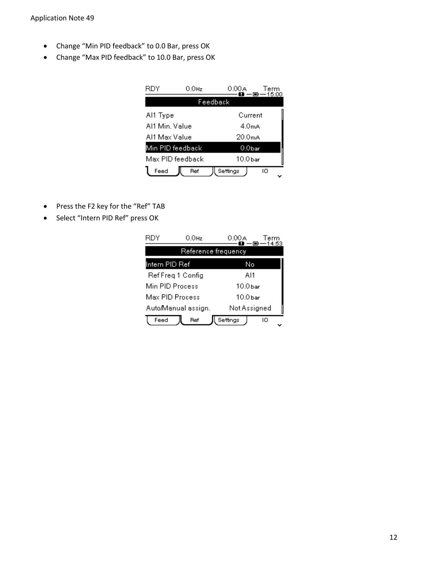- Change "Min PID feedback" to 0.0 Bar, press OK
- Change "Max PID feedback" to 10.0 Bar, press OK

|                | 0.0Hz            | 0.00 A              | Term<br>15:00 |
|----------------|------------------|---------------------|---------------|
|                | Feedback         |                     |               |
| Al1 Type       |                  | Current             |               |
| Al1 Min. Value |                  | 4.0mA               |               |
| Al1 Max Value  |                  | 20.0 <sub>m</sub> A |               |
|                | Min PID feedback | 0.0bar              |               |
|                | Max PID feedback | 10.0 bar            |               |
| Feed           | Ref              | Settings<br>ю       |               |

- Press the F2 key for the "Ref" TAB
- Select "Intern PID Ref" press OK

| RDY             | $0.0$ Hz            | 0.00A               | Term<br>14:53 |  |
|-----------------|---------------------|---------------------|---------------|--|
|                 | Reference frequency |                     |               |  |
| Intern PID Ref  |                     | No                  |               |  |
|                 | Ref Freq 1 Config   | Al1                 |               |  |
| Min PID Process |                     | 10.0 <sub>bar</sub> |               |  |
| Max PID Process |                     | 10.0 bar            |               |  |
|                 | AutoManual assign.  | Not Assigned        |               |  |
| Feed            | Ref                 | Settings            | ю             |  |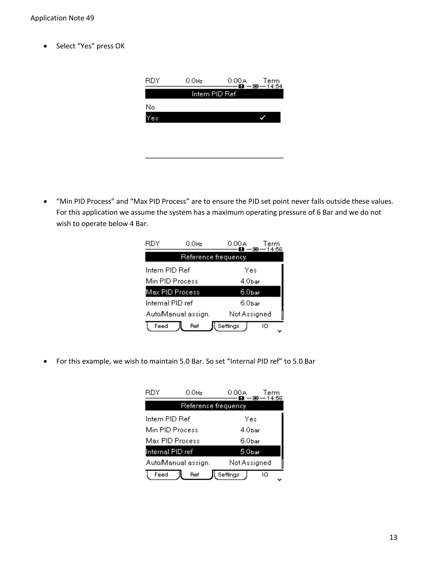• Select "Yes" press OK

| RDY | $0.0$ Hz       | 0.00 A<br>Term<br>$0 - 5 - 14:54$ |  |
|-----|----------------|-----------------------------------|--|
|     | Intern PID Ref |                                   |  |
| No  |                |                                   |  |
| 28  |                |                                   |  |
|     |                |                                   |  |
|     |                |                                   |  |
|     |                |                                   |  |

 "Min PID Process" and "Max PID Process" are to ensure the PID set point never falls outside these values. For this application we assume the system has a maximum operating pressure of 6 Bar and we do not wish to operate below 4 Bar.

| RDY              | $0.0$ Hz            | 0.00A              | Term<br>14:56 |
|------------------|---------------------|--------------------|---------------|
|                  | Reference frequency |                    |               |
| Intern PID Ref   |                     | Yes                |               |
| Min PID Process  |                     | 4 Obar             |               |
| Max PID Process  |                     | 6.0 <sub>bar</sub> |               |
| Internal PID ref |                     | 6.0bar             |               |
|                  | AutoManual assign.  | Not Assigned       |               |
| Feed             | Ref                 | Settings           | ю             |

For this example, we wish to maintain 5.0 Bar. So set "Internal PID ref" to 5.0 Bar

| RDY                                | 0.0Hz               | 0.00A              | Term<br>14:56 |
|------------------------------------|---------------------|--------------------|---------------|
|                                    | Reference frequency |                    |               |
| Intern PID Ref                     |                     | Yes                |               |
| Min PID Process                    |                     | 4.0bar             |               |
| Max PID Process                    |                     | 6.0 <sub>bar</sub> |               |
| Internal PID ref                   |                     | 5.0 <sub>bar</sub> |               |
| Not Assigned<br>AutoManual assign. |                     |                    |               |
| Feed                               | Ref                 | Settings<br>ю      |               |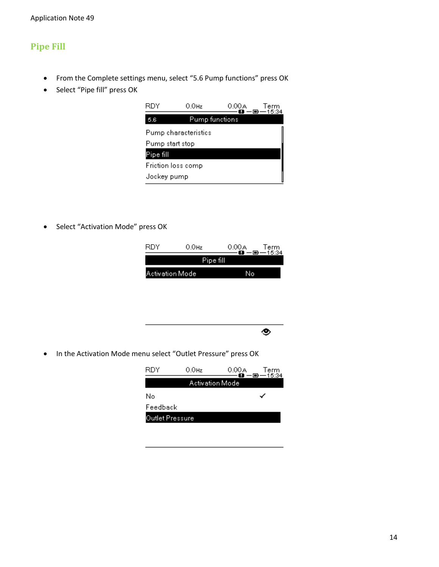### **Pipe Fill**

- From the Complete settings menu, select "5.6 Pump functions" press OK
- Select "Pipe fill" press OK



• Select "Activation Mode" press OK





• In the Activation Mode menu select "Outlet Pressure" press OK

| RDY             | $0.0$ Hz        | 0.00 A | Term<br>$-0 - 15.34$ |
|-----------------|-----------------|--------|----------------------|
|                 | Activation Mode |        |                      |
| No              |                 |        |                      |
| Feedback        |                 |        |                      |
| Outlet Pressure |                 |        |                      |
|                 |                 |        |                      |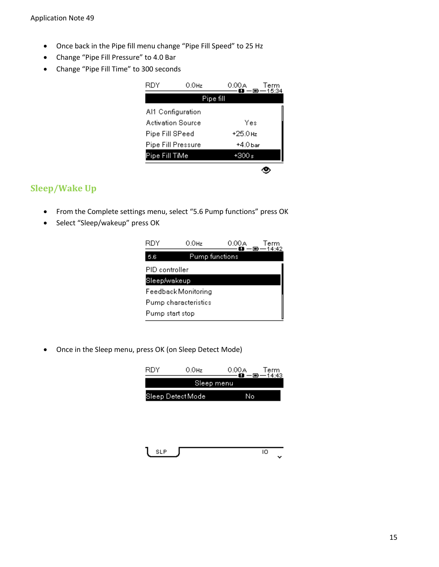- Once back in the Pipe fill menu change "Pipe Fill Speed" to 25 Hz
- Change "Pipe Fill Pressure" to 4.0 Bar
- Change "Pipe Fill Time" to 300 seconds

| RDY             | 0.0Hz              | 0.00A     | Term<br>15:34 |
|-----------------|--------------------|-----------|---------------|
|                 | Pipe fill          |           |               |
|                 | Al1 Configuration  |           |               |
|                 | Activation Source  | Yes       |               |
| Pipe Fill SPeed |                    | +25.0 Hz  |               |
|                 | Pipe Fill Pressure | $+4.0bar$ |               |
| Pipe Fill TiMe  |                    | ∍ 300     |               |
|                 |                    |           |               |

#### **Sleep/Wake Up**

- From the Complete settings menu, select "5.6 Pump functions" press OK
- Select "Sleep/wakeup" press OK



Once in the Sleep menu, press OK (on Sleep Detect Mode)

| <b>RDY</b> | $0.0$ Hz          | 0.00A | Term<br>-14:43 |
|------------|-------------------|-------|----------------|
|            | Sleep menu        |       |                |
|            | Sleep Detect Mode |       |                |

SLP. 10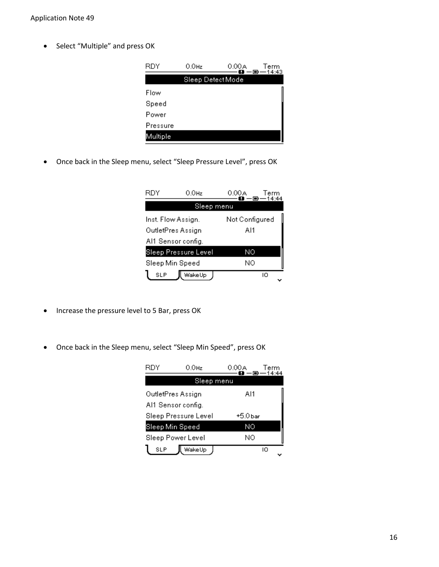• Select "Multiple" and press OK

| RDY      | $0.0$ Hz         | 0.00 A<br>ъ. | Term<br>一回一14:43 |
|----------|------------------|--------------|------------------|
|          | Sleep DetectMode |              |                  |
| Flow     |                  |              |                  |
| Speed    |                  |              |                  |
| Power    |                  |              |                  |
| Pressure |                  |              |                  |
| Multiple |                  |              |                  |

Once back in the Sleep menu, select "Sleep Pressure Level", press OK

| RDY                | 0.0Hz                | 0.00A          | erm |
|--------------------|----------------------|----------------|-----|
|                    | Sleep menu           |                |     |
| Inst. Flow Assign. |                      | Not Configured |     |
| OutletPres Assign  |                      | Al1            |     |
| Al1 Sensor config. |                      |                |     |
|                    | Sleep Pressure Level | ΝO             |     |
| Sleep Min Speed    |                      | NΟ             |     |
| SLP                | WakeUp               | ю              |     |

- Increase the pressure level to 5 Bar, press OK
- Once back in the Sleep menu, select "Sleep Min Speed", press OK

| RDY                | 0.0Hz                | 0.00A    | Term<br>14:44 |  |
|--------------------|----------------------|----------|---------------|--|
|                    | Sleep menu           |          |               |  |
| OutletPres Assign  |                      | Al1      |               |  |
| Al1 Sensor config. |                      |          |               |  |
|                    | Sleep Pressure Level | +5.0 bar |               |  |
| Sleep Min Speed    |                      | ΝO       |               |  |
|                    | Sleep Power Level    | ΝO       |               |  |
| SLP                | WakeUp               |          | ю             |  |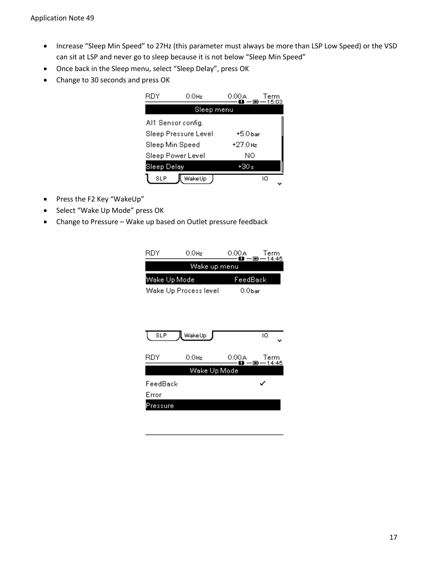- Increase "Sleep Min Speed" to 27Hz (this parameter must always be more than LSP Low Speed) or the VSD can sit at LSP and never go to sleep because it is not below "Sleep Min Speed"
- Once back in the Sleep menu, select "Sleep Delay", press OK
- Change to 30 seconds and press OK

| RDY                | $0.0$ Hz             | 0.00A    | Term<br>15:03 |
|--------------------|----------------------|----------|---------------|
|                    | Sleep menu           |          |               |
| Al1 Sensor config. |                      |          |               |
|                    | Sleep Pressure Level | +5.0 bar |               |
| Sleep Min Speed    |                      | +27.0 Hz |               |
| Sleep Power Level  |                      | ΝO       |               |
| Sleep Delay        |                      | +30 ⊲    |               |
| SLP                | WakeUp               |          | ю             |

- Press the F2 Key "WakeUp"
- Select "Wake Up Mode" press OK
- Change to Pressure Wake up based on Outlet pressure feedback

| RDY          | $0.0$ Hz              | 0.00 A<br>∙ (≡)    | Term<br>14:45 |
|--------------|-----------------------|--------------------|---------------|
|              | Wake up menu          |                    |               |
| Wake Up Mode |                       | FeedBack           |               |
|              | Wake Up Process level | 0.0 <sub>bar</sub> |               |
|              |                       |                    |               |
|              |                       |                    |               |
|              |                       |                    |               |
| SLP          | wakeUp                |                    | ю             |
| RDY          | 0.0Hz                 | 0.00A              | Term          |
|              |                       | o<br>D             | 14:45         |
|              | Wake Up Mode          |                    |               |
| FeedBack     |                       |                    |               |
| Error        |                       |                    |               |
| ressure      |                       |                    |               |
|              |                       |                    |               |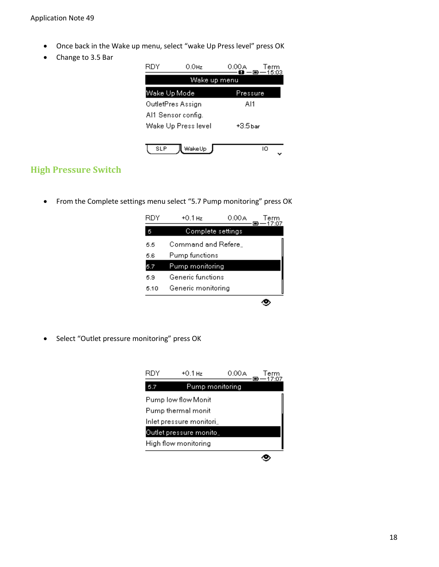- Once back in the Wake up menu, select "wake Up Press level" press OK
- Change to 3.5 Bar

| RDY          | 0.0Hz               | 0.00A<br>Term<br>$D = 15:03$ |  |
|--------------|---------------------|------------------------------|--|
|              | Wake up menu        |                              |  |
| Wake Up Mode |                     | Pressure                     |  |
|              | OutletPres Assign   | Al1                          |  |
|              | Al1 Sensor config.  |                              |  |
|              | Wake Up Press level | +3.5 bar                     |  |
|              |                     |                              |  |
| SLP          | WakeUp              | ю                            |  |

### **High Pressure Switch**

From the Complete settings menu select "5.7 Pump monitoring" press OK

| RDY  | $+0.1$ Hz          | 0.00A | Term<br>17:07 |
|------|--------------------|-------|---------------|
| 5    | Complete settings  |       |               |
| 5.5  | Command and Refere |       |               |
| 5.6  | Pump functions     |       |               |
| 5.7  | Pump monitoring    |       |               |
| 5.9  | Generic functions  |       |               |
| 5.10 | Generic monitoring |       |               |
|      |                    |       |               |

Select "Outlet pressure monitoring" press OK

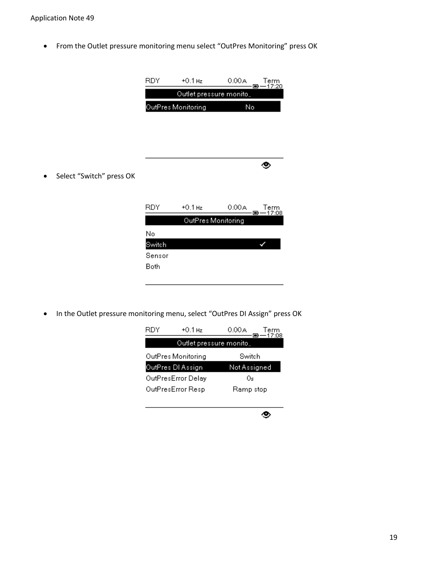From the Outlet pressure monitoring menu select "OutPres Monitoring" press OK

|                          | <b>RDY</b> | $+0.1$ Hz               | 0.00A | Term<br>-17:20<br>$\blacksquare$ |
|--------------------------|------------|-------------------------|-------|----------------------------------|
|                          |            | Outlet pressure monito. |       |                                  |
|                          |            | OutPres Monitoring      | No    |                                  |
|                          |            |                         |       |                                  |
|                          |            |                         |       |                                  |
|                          |            |                         |       |                                  |
|                          |            |                         |       |                                  |
| Select "Switch" press OK |            |                         |       | 40,                              |
|                          |            |                         |       |                                  |
|                          |            |                         |       |                                  |
|                          | RDY.       | $+0.1$ Hz               | 0.00A | Term<br>-17:08<br>•€             |
|                          |            | OutPres Monitoring      |       |                                  |
|                          | No         |                         |       |                                  |
|                          | Switch     |                         |       |                                  |
|                          | Sensor     |                         |       |                                  |
|                          | Both       |                         |       |                                  |
|                          |            |                         |       |                                  |

• In the Outlet pressure monitoring menu, select "OutPres DI Assign" press OK



۰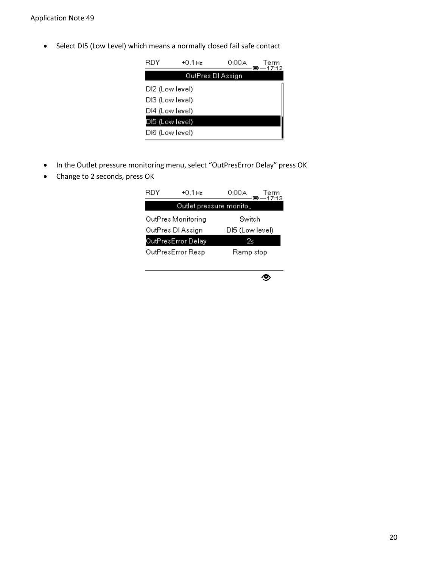• Select DI5 (Low Level) which means a normally closed fail safe contact

| RDY             | +0.1 Hz           | 0.00 A | Term<br>-17:12 |
|-----------------|-------------------|--------|----------------|
|                 | OutPres DI Assign |        |                |
| DI2 (Low level) |                   |        |                |
| DI3 (Low level) |                   |        |                |
| DI4 (Low level) |                   |        |                |
| DI5 (Low level) |                   |        |                |
| DI6 (Low level) |                   |        |                |

- In the Outlet pressure monitoring menu, select "OutPresError Delay" press OK
- Change to 2 seconds, press OK

| RDY | $+0.1$ Hz          | 0.00 A                  | Term<br>—17:13 |
|-----|--------------------|-------------------------|----------------|
|     |                    | Outlet pressure monito. |                |
|     | OutPres Monitoring | Switch                  |                |
|     | OutPres DI Assign  | DI5 (Low level)         |                |
|     | OutPresError Delay | 2s                      |                |
|     | OutPresError Resp  | Ramp stop               |                |
|     |                    |                         |                |

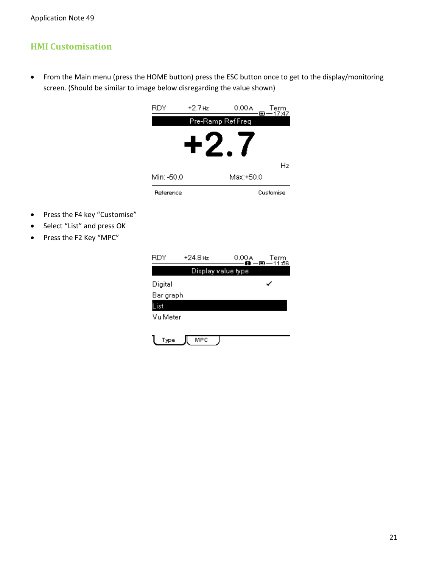### **HMI Customisation**

• Press the F4 key "Customise" • Select "List" and press OK • Press the F2 Key "MPC"

 From the Main menu (press the HOME button) press the ESC button once to get to the display/monitoring screen. (Should be similar to image below disregarding the value shown)

|            | Pre-Ramp Ref Freq | $\blacksquare$<br>17:47 |
|------------|-------------------|-------------------------|
|            |                   |                         |
|            |                   |                         |
|            |                   |                         |
|            |                   | Hz                      |
|            | Мах:+50.0         |                         |
|            |                   | Customise               |
|            |                   |                         |
|            |                   |                         |
|            |                   |                         |
|            |                   |                         |
| $+24.8$ Hz | 0.00A             | Term<br>11:56<br>— o·   |
|            |                   |                         |
|            |                   |                         |
|            |                   |                         |
|            |                   |                         |
|            |                   |                         |
|            |                   | Display value type      |

**MPC** 

 $\mathbf{l}$  Type